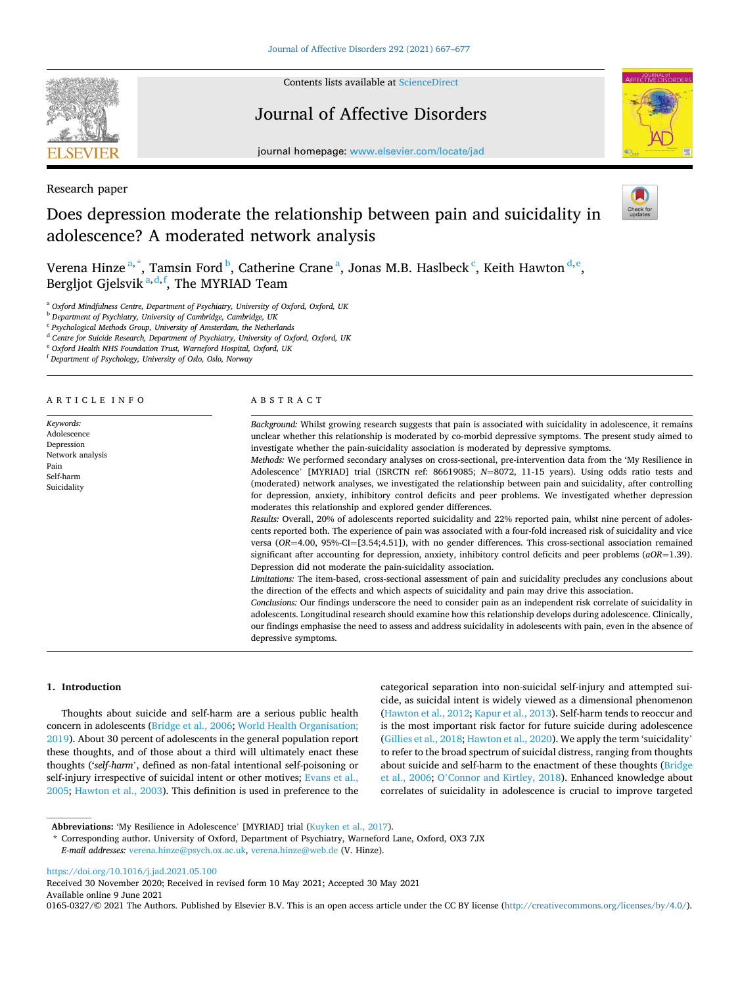

Contents lists available at [ScienceDirect](www.sciencedirect.com/science/journal/01650327)

# Journal of Affective Disorders



journal homepage: [www.elsevier.com/locate/jad](https://www.elsevier.com/locate/jad)

Research paper

# Does depression moderate the relationship between pain and suicidality in adolescence? A moderated network analysis



Verena Hinze  $a^*$ , Tamsin Ford  $^b$ , Catherine Crane  $^a$ , Jonas M.B. Haslbeck  $^c$ , Keith Hawton  $^{d,e}$ , Bergljot Gjelsvik <sup>a,d,f</sup>, The MYRIAD Team

<sup>a</sup> *Oxford Mindfulness Centre, Department of Psychiatry, University of Oxford, Oxford, UK* 

<sup>b</sup> *Department of Psychiatry, University of Cambridge, Cambridge, UK* 

<sup>c</sup> *Psychological Methods Group, University of Amsterdam, the Netherlands* 

<sup>d</sup> *Centre for Suicide Research, Department of Psychiatry, University of Oxford, Oxford, UK* 

<sup>e</sup> *Oxford Health NHS Foundation Trust, Warneford Hospital, Oxford, UK* 

<sup>f</sup> *Department of Psychology, University of Oslo, Oslo, Norway* 

ARTICLE INFO

*Keywords:*  Adolescence Depression Network analysis Pain Self-harm Suicidality

#### ABSTRACT

*Background:* Whilst growing research suggests that pain is associated with suicidality in adolescence, it remains unclear whether this relationship is moderated by co-morbid depressive symptoms. The present study aimed to investigate whether the pain-suicidality association is moderated by depressive symptoms.

*Methods:* We performed secondary analyses on cross-sectional, pre-intervention data from the 'My Resilience in Adolescence' [MYRIAD] trial (ISRCTN ref: 86619085; *N*=8072, 11-15 years). Using odds ratio tests and (moderated) network analyses, we investigated the relationship between pain and suicidality, after controlling for depression, anxiety, inhibitory control deficits and peer problems. We investigated whether depression moderates this relationship and explored gender differences.

*Results:* Overall, 20% of adolescents reported suicidality and 22% reported pain, whilst nine percent of adolescents reported both. The experience of pain was associated with a four-fold increased risk of suicidality and vice versa (*OR*=4.00, 95%-CI=[3.54;4.51]), with no gender differences. This cross-sectional association remained significant after accounting for depression, anxiety, inhibitory control deficits and peer problems (*aOR*=1.39). Depression did not moderate the pain-suicidality association.

*Limitations:* The item-based, cross-sectional assessment of pain and suicidality precludes any conclusions about the direction of the effects and which aspects of suicidality and pain may drive this association.

*Conclusions:* Our findings underscore the need to consider pain as an independent risk correlate of suicidality in adolescents. Longitudinal research should examine how this relationship develops during adolescence. Clinically, our findings emphasise the need to assess and address suicidality in adolescents with pain, even in the absence of depressive symptoms.

# **1. Introduction**

Thoughts about suicide and self-harm are a serious public health concern in adolescents [\(Bridge et al., 2006](#page-9-0); [World Health Organisation;](#page-10-0)  [2019\)](#page-10-0). About 30 percent of adolescents in the general population report these thoughts, and of those about a third will ultimately enact these thoughts ('*self-harm*', defined as non-fatal intentional self-poisoning or self-injury irrespective of suicidal intent or other motives; [Evans et al.,](#page-9-0)  [2005; Hawton et al., 2003\)](#page-9-0). This definition is used in preference to the categorical separation into non-suicidal self-injury and attempted suicide, as suicidal intent is widely viewed as a dimensional phenomenon ([Hawton et al., 2012](#page-9-0); [Kapur et al., 2013](#page-9-0)). Self-harm tends to reoccur and is the most important risk factor for future suicide during adolescence ([Gillies et al., 2018](#page-9-0); [Hawton et al., 2020](#page-9-0)). We apply the term 'suicidality' to refer to the broad spectrum of suicidal distress, ranging from thoughts about suicide and self-harm to the enactment of these thoughts ([Bridge](#page-9-0)  [et al., 2006](#page-9-0); O'[Connor and Kirtley, 2018\)](#page-9-0). Enhanced knowledge about correlates of suicidality in adolescence is crucial to improve targeted

\* Corresponding author. University of Oxford, Department of Psychiatry, Warneford Lane, Oxford, OX3 7JX *E-mail addresses:* [verena.hinze@psych.ox.ac.uk,](mailto:verena.hinze@psych.ox.ac.uk) [verena.hinze@web.de](mailto:verena.hinze@web.de) (V. Hinze).

<https://doi.org/10.1016/j.jad.2021.05.100>

Available online 9 June 2021 0165-0327/© 2021 The Authors. Published by Elsevier B.V. This is an open access article under the CC BY license [\(http://creativecommons.org/licenses/by/4.0/\)](http://creativecommons.org/licenses/by/4.0/). Received 30 November 2020; Received in revised form 10 May 2021; Accepted 30 May 2021

**Abbreviations:** 'My Resilience in Adolescence' [MYRIAD] trial [\(Kuyken et al., 2017](#page-9-0)).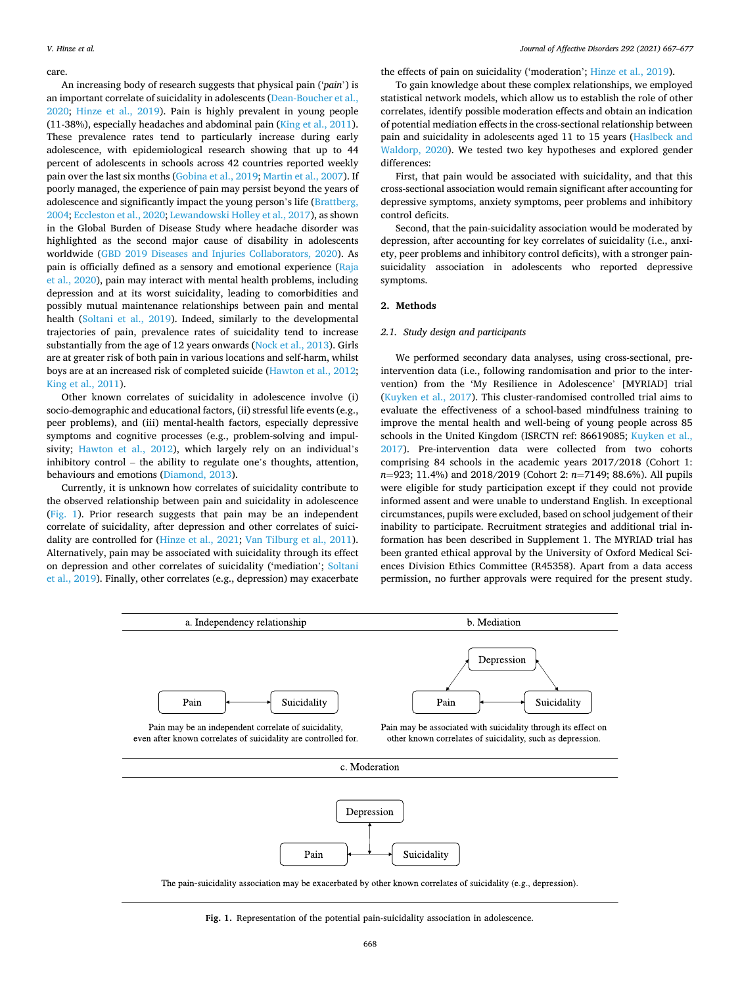#### care.

An increasing body of research suggests that physical pain ('*pain*') is an important correlate of suicidality in adolescents [\(Dean-Boucher et al.,](#page-9-0)  [2020;](#page-9-0) [Hinze et al., 2019\)](#page-9-0). Pain is highly prevalent in young people (11-38%), especially headaches and abdominal pain ([King et al., 2011](#page-9-0)). These prevalence rates tend to particularly increase during early adolescence, with epidemiological research showing that up to 44 percent of adolescents in schools across 42 countries reported weekly pain over the last six months ([Gobina et al., 2019; Martin et al., 2007](#page-9-0)). If poorly managed, the experience of pain may persist beyond the years of adolescence and significantly impact the young person's life [\(Brattberg,](#page-9-0)  [2004; Eccleston et al., 2020; Lewandowski Holley et al., 2017](#page-9-0)), as shown in the Global Burden of Disease Study where headache disorder was highlighted as the second major cause of disability in adolescents worldwide ([GBD 2019 Diseases and Injuries Collaborators, 2020\)](#page-9-0). As pain is officially defined as a sensory and emotional experience [\(Raja](#page-9-0)  [et al., 2020](#page-9-0)), pain may interact with mental health problems, including depression and at its worst suicidality, leading to comorbidities and possibly mutual maintenance relationships between pain and mental health ([Soltani et al., 2019\)](#page-10-0). Indeed, similarly to the developmental trajectories of pain, prevalence rates of suicidality tend to increase substantially from the age of 12 years onwards ([Nock et al., 2013\)](#page-9-0). Girls are at greater risk of both pain in various locations and self-harm, whilst boys are at an increased risk of completed suicide ([Hawton et al., 2012](#page-9-0); [King et al., 2011](#page-9-0)).

Other known correlates of suicidality in adolescence involve (i) socio-demographic and educational factors, (ii) stressful life events (e.g., peer problems), and (iii) mental-health factors, especially depressive symptoms and cognitive processes (e.g., problem-solving and impulsivity; [Hawton et al., 2012](#page-9-0)), which largely rely on an individual's inhibitory control – the ability to regulate one's thoughts, attention, behaviours and emotions ([Diamond, 2013](#page-9-0)).

Currently, it is unknown how correlates of suicidality contribute to the observed relationship between pain and suicidality in adolescence (Fig. 1). Prior research suggests that pain may be an independent correlate of suicidality, after depression and other correlates of suicidality are controlled for ([Hinze et al., 2021;](#page-9-0) [Van Tilburg et al., 2011](#page-10-0)). Alternatively, pain may be associated with suicidality through its effect on depression and other correlates of suicidality ('mediation'; [Soltani](#page-10-0)  [et al., 2019](#page-10-0)). Finally, other correlates (e.g., depression) may exacerbate the effects of pain on suicidality ('moderation'; [Hinze et al., 2019](#page-9-0)).

To gain knowledge about these complex relationships, we employed statistical network models, which allow us to establish the role of other correlates, identify possible moderation effects and obtain an indication of potential mediation effects in the cross-sectional relationship between pain and suicidality in adolescents aged 11 to 15 years ([Haslbeck and](#page-9-0)  [Waldorp, 2020](#page-9-0)). We tested two key hypotheses and explored gender differences:

First, that pain would be associated with suicidality, and that this cross-sectional association would remain significant after accounting for depressive symptoms, anxiety symptoms, peer problems and inhibitory control deficits.

Second, that the pain-suicidality association would be moderated by depression, after accounting for key correlates of suicidality (i.e., anxiety, peer problems and inhibitory control deficits), with a stronger painsuicidality association in adolescents who reported depressive symptoms.

#### **2. Methods**

#### *2.1. Study design and participants*

We performed secondary data analyses, using cross-sectional, preintervention data (i.e., following randomisation and prior to the intervention) from the 'My Resilience in Adolescence' [MYRIAD] trial ([Kuyken et al., 2017\)](#page-9-0). This cluster-randomised controlled trial aims to evaluate the effectiveness of a school-based mindfulness training to improve the mental health and well-being of young people across 85 schools in the United Kingdom (ISRCTN ref: 86619085; [Kuyken et al.,](#page-9-0)  [2017\)](#page-9-0). Pre-intervention data were collected from two cohorts comprising 84 schools in the academic years 2017/2018 (Cohort 1: *n*=923; 11.4%) and 2018/2019 (Cohort 2: *n*=7149; 88.6%). All pupils were eligible for study participation except if they could not provide informed assent and were unable to understand English. In exceptional circumstances, pupils were excluded, based on school judgement of their inability to participate. Recruitment strategies and additional trial information has been described in Supplement 1. The MYRIAD trial has been granted ethical approval by the University of Oxford Medical Sciences Division Ethics Committee (R45358). Apart from a data access permission, no further approvals were required for the present study.



The pain-suicidality association may be exacerbated by other known correlates of suicidality (e.g., depression).

**Fig. 1.** Representation of the potential pain-suicidality association in adolescence.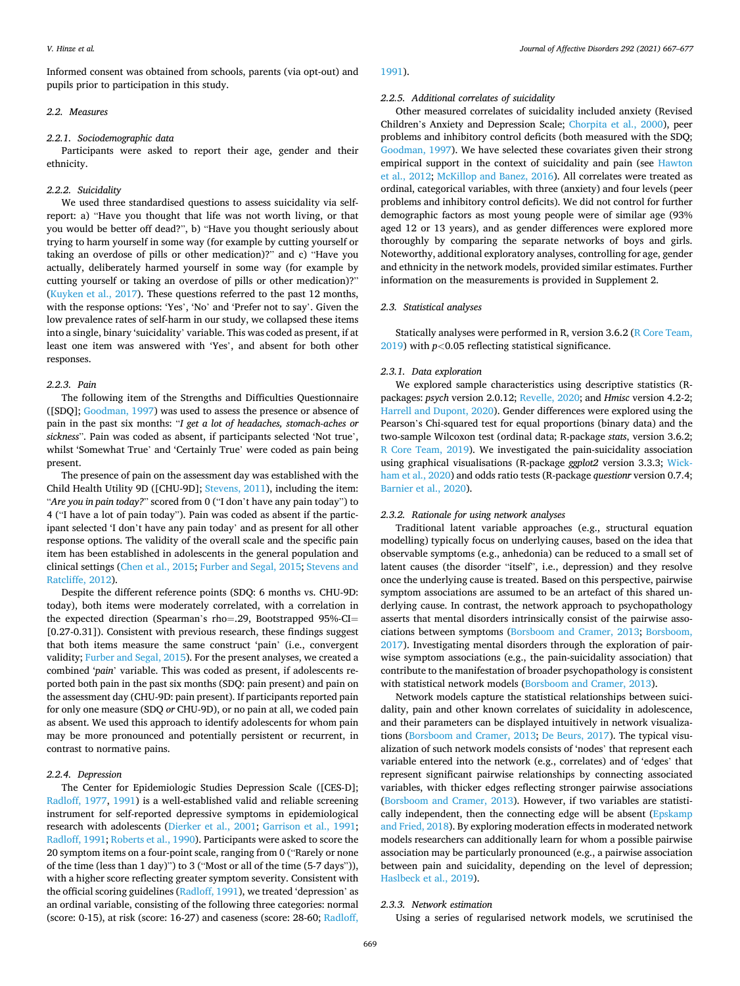Informed consent was obtained from schools, parents (via opt-out) and pupils prior to participation in this study.

### *2.2. Measures*

#### *2.2.1. Sociodemographic data*

Participants were asked to report their age, gender and their ethnicity.

# *2.2.2. Suicidality*

We used three standardised questions to assess suicidality via selfreport: a) "Have you thought that life was not worth living, or that you would be better off dead?", b) "Have you thought seriously about trying to harm yourself in some way (for example by cutting yourself or taking an overdose of pills or other medication)?" and c) "Have you actually, deliberately harmed yourself in some way (for example by cutting yourself or taking an overdose of pills or other medication)?" ([Kuyken et al., 2017\)](#page-9-0). These questions referred to the past 12 months, with the response options: 'Yes', 'No' and 'Prefer not to say'. Given the low prevalence rates of self-harm in our study, we collapsed these items into a single, binary 'suicidality' variable. This was coded as present, if at least one item was answered with 'Yes', and absent for both other responses.

# *2.2.3. Pain*

The following item of the Strengths and Difficulties Questionnaire ([SDQ]; [Goodman, 1997\)](#page-9-0) was used to assess the presence or absence of pain in the past six months: "*I get a lot of headaches, stomach-aches or sickness*". Pain was coded as absent, if participants selected 'Not true', whilst 'Somewhat True' and 'Certainly True' were coded as pain being present.

The presence of pain on the assessment day was established with the Child Health Utility 9D ([CHU-9D]; [Stevens, 2011](#page-10-0)), including the item: "*Are you in pain today?*" scored from 0 ("I don't have any pain today") to 4 ("I have a lot of pain today"). Pain was coded as absent if the participant selected 'I don't have any pain today' and as present for all other response options. The validity of the overall scale and the specific pain item has been established in adolescents in the general population and clinical settings [\(Chen et al., 2015; Furber and Segal, 2015;](#page-9-0) [Stevens and](#page-10-0)  [Ratcliffe, 2012\)](#page-10-0).

Despite the different reference points (SDQ: 6 months vs. CHU-9D: today), both items were moderately correlated, with a correlation in the expected direction (Spearman's rho=.29, Bootstrapped 95%-CI= [0.27-0.31]). Consistent with previous research, these findings suggest that both items measure the same construct 'pain' (i.e., convergent validity; [Furber and Segal, 2015\)](#page-9-0). For the present analyses, we created a combined '*pain*' variable. This was coded as present, if adolescents reported both pain in the past six months (SDQ: pain present) and pain on the assessment day (CHU-9D: pain present). If participants reported pain for only one measure (SDQ *or* CHU-9D), or no pain at all, we coded pain as absent. We used this approach to identify adolescents for whom pain may be more pronounced and potentially persistent or recurrent, in contrast to normative pains.

### *2.2.4. Depression*

The Center for Epidemiologic Studies Depression Scale ([CES-D]; [Radloff, 1977](#page-9-0), [1991](#page-9-0)) is a well-established valid and reliable screening instrument for self-reported depressive symptoms in epidemiological research with adolescents ([Dierker et al., 2001](#page-9-0); [Garrison et al., 1991](#page-9-0); [Radloff, 1991](#page-9-0); [Roberts et al., 1990](#page-10-0)). Participants were asked to score the 20 symptom items on a four-point scale, ranging from 0 ("Rarely or none of the time (less than 1 day)") to 3 ("Most or all of the time (5-7 days")), with a higher score reflecting greater symptom severity. Consistent with the official scoring guidelines ([Radloff, 1991](#page-9-0)), we treated 'depression' as an ordinal variable, consisting of the following three categories: normal (score: 0-15), at risk (score: 16-27) and caseness (score: 28-60; [Radloff,](#page-9-0) 

#### [1991\)](#page-9-0).

#### *2.2.5. Additional correlates of suicidality*

Other measured correlates of suicidality included anxiety (Revised Children's Anxiety and Depression Scale; [Chorpita et al., 2000\)](#page-9-0), peer problems and inhibitory control deficits (both measured with the SDQ; [Goodman, 1997](#page-9-0)). We have selected these covariates given their strong empirical support in the context of suicidality and pain (see [Hawton](#page-9-0)  [et al., 2012](#page-9-0); [McKillop and Banez, 2016\)](#page-9-0). All correlates were treated as ordinal, categorical variables, with three (anxiety) and four levels (peer problems and inhibitory control deficits). We did not control for further demographic factors as most young people were of similar age (93% aged 12 or 13 years), and as gender differences were explored more thoroughly by comparing the separate networks of boys and girls. Noteworthy, additional exploratory analyses, controlling for age, gender and ethnicity in the network models, provided similar estimates. Further information on the measurements is provided in Supplement 2.

# *2.3. Statistical analyses*

Statically analyses were performed in R, version 3.6.2 ([R Core Team,](#page-9-0)  [2019\)](#page-9-0) with *p<*0.05 reflecting statistical significance.

#### *2.3.1. Data exploration*

We explored sample characteristics using descriptive statistics (Rpackages: *psych* version 2.0.12; [Revelle, 2020;](#page-10-0) and *Hmisc* version 4.2-2; [Harrell and Dupont, 2020](#page-9-0)). Gender differences were explored using the Pearson's Chi-squared test for equal proportions (binary data) and the two-sample Wilcoxon test (ordinal data; R-package *stats*, version 3.6.2; [R Core Team, 2019\)](#page-9-0). We investigated the pain-suicidality association using graphical visualisations (R-package *ggplot2* version 3.3.3; [Wick](#page-10-0)[ham et al., 2020\)](#page-10-0) and odds ratio tests (R-package *questionr* version 0.7.4; [Barnier et al., 2020](#page-9-0)).

# *2.3.2. Rationale for using network analyses*

Traditional latent variable approaches (e.g., structural equation modelling) typically focus on underlying causes, based on the idea that observable symptoms (e.g., anhedonia) can be reduced to a small set of latent causes (the disorder "itself", i.e., depression) and they resolve once the underlying cause is treated. Based on this perspective, pairwise symptom associations are assumed to be an artefact of this shared underlying cause. In contrast, the network approach to psychopathology asserts that mental disorders intrinsically consist of the pairwise associations between symptoms [\(Borsboom and Cramer, 2013;](#page-9-0) [Borsboom,](#page-9-0)  [2017\)](#page-9-0). Investigating mental disorders through the exploration of pairwise symptom associations (e.g., the pain-suicidality association) that contribute to the manifestation of broader psychopathology is consistent with statistical network models ([Borsboom and Cramer, 2013](#page-9-0)).

Network models capture the statistical relationships between suicidality, pain and other known correlates of suicidality in adolescence, and their parameters can be displayed intuitively in network visualizations [\(Borsboom and Cramer, 2013; De Beurs, 2017\)](#page-9-0). The typical visualization of such network models consists of 'nodes' that represent each variable entered into the network (e.g., correlates) and of 'edges' that represent significant pairwise relationships by connecting associated variables, with thicker edges reflecting stronger pairwise associations ([Borsboom and Cramer, 2013](#page-9-0)). However, if two variables are statistically independent, then the connecting edge will be absent (Epskamp [and Fried, 2018](#page-9-0)). By exploring moderation effects in moderated network models researchers can additionally learn for whom a possible pairwise association may be particularly pronounced (e.g., a pairwise association between pain and suicidality, depending on the level of depression; [Haslbeck et al., 2019](#page-9-0)).

#### *2.3.3. Network estimation*

Using a series of regularised network models, we scrutinised the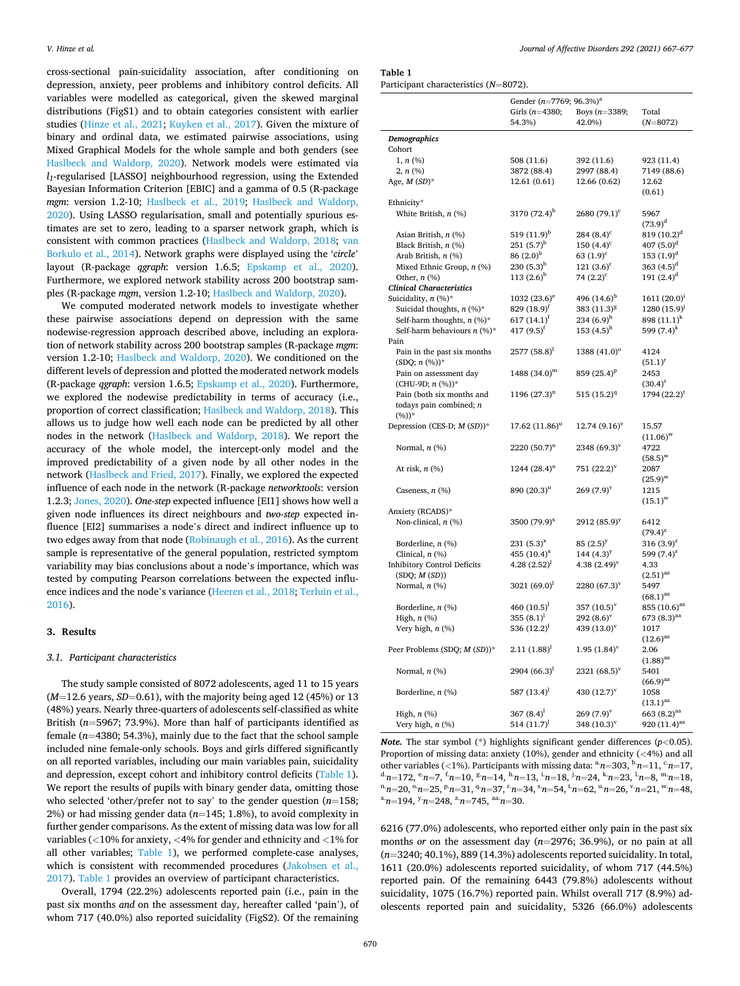cross-sectional pain-suicidality association, after conditioning on depression, anxiety, peer problems and inhibitory control deficits. All variables were modelled as categorical, given the skewed marginal distributions (FigS1) and to obtain categories consistent with earlier studies ([Hinze et al., 2021;](#page-9-0) [Kuyken et al., 2017](#page-9-0)). Given the mixture of binary and ordinal data, we estimated pairwise associations, using Mixed Graphical Models for the whole sample and both genders (see [Haslbeck and Waldorp, 2020](#page-9-0)). Network models were estimated via *l1*-regularised [LASSO] neighbourhood regression, using the Extended Bayesian Information Criterion [EBIC] and a gamma of 0.5 (R-package *mgm*: version 1.2-10; [Haslbeck et al., 2019](#page-9-0); [Haslbeck and Waldorp,](#page-9-0)  [2020\)](#page-9-0). Using LASSO regularisation, small and potentially spurious estimates are set to zero, leading to a sparser network graph, which is consistent with common practices ([Haslbeck and Waldorp, 2018;](#page-9-0) [van](#page-10-0)  [Borkulo et al., 2014\)](#page-10-0). Network graphs were displayed using the '*circle*' layout (R-package *qgraph*: version 1.6.5; [Epskamp et al., 2020](#page-9-0)). Furthermore, we explored network stability across 200 bootstrap samples (R-package *mgm*, version 1.2-10; [Haslbeck and Waldorp, 2020](#page-9-0)).

We computed moderated network models to investigate whether these pairwise associations depend on depression with the same nodewise-regression approach described above, including an exploration of network stability across 200 bootstrap samples (R-package *mgm*: version 1.2-10; [Haslbeck and Waldorp, 2020](#page-9-0)). We conditioned on the different levels of depression and plotted the moderated network models (R-package *qgraph*: version 1.6.5; [Epskamp et al., 2020](#page-9-0)). Furthermore, we explored the nodewise predictability in terms of accuracy (i.e., proportion of correct classification; [Haslbeck and Waldorp, 2018](#page-9-0)). This allows us to judge how well each node can be predicted by all other nodes in the network ([Haslbeck and Waldorp, 2018\)](#page-9-0). We report the accuracy of the whole model, the intercept-only model and the improved predictability of a given node by all other nodes in the network ([Haslbeck and Fried, 2017](#page-9-0)). Finally, we explored the expected influence of each node in the network (R-package *networktools*: version 1.2.3; [Jones, 2020\)](#page-9-0). *One-step* expected influence [EI1] shows how well a given node influences its direct neighbours and *two-step* expected influence [EI2] summarises a node's direct and indirect influence up to two edges away from that node [\(Robinaugh et al., 2016](#page-10-0)). As the current sample is representative of the general population, restricted symptom variability may bias conclusions about a node's importance, which was tested by computing Pearson correlations between the expected influence indices and the node's variance ([Heeren et al., 2018](#page-9-0); [Terluin et al.,](#page-10-0)  [2016\)](#page-10-0).

### **3. Results**

#### *3.1. Participant characteristics*

The study sample consisted of 8072 adolescents, aged 11 to 15 years  $(M=12.6 \text{ years}, SD=0.61)$ , with the majority being aged 12 (45%) or 13 (48%) years. Nearly three-quarters of adolescents self-classified as white British (*n*=5967; 73.9%). More than half of participants identified as female (*n*=4380; 54.3%), mainly due to the fact that the school sample included nine female-only schools. Boys and girls differed significantly on all reported variables, including our main variables pain, suicidality and depression, except cohort and inhibitory control deficits (Table 1). We report the results of pupils with binary gender data, omitting those who selected 'other/prefer not to say' to the gender question (*n*=158; 2%) or had missing gender data (*n*=145; 1.8%), to avoid complexity in further gender comparisons. As the extent of missing data was low for all variables (*<*10% for anxiety, *<*4% for gender and ethnicity and *<*1% for all other variables; Table 1), we performed complete-case analyses, which is consistent with recommended procedures ([Jakobsen et al.,](#page-9-0)  [2017\)](#page-9-0). Table 1 provides an overview of participant characteristics.

Overall, 1794 (22.2%) adolescents reported pain (i.e., pain in the past six months *and* on the assessment day, hereafter called 'pain'), of whom 717 (40.0%) also reported suicidality (FigS2). Of the remaining

**Table 1** 

Participant characteristics (*N*=8072).

|                                             | Gender ( $n=7769$ ; 96.3%) <sup>a</sup> |                                |                                |  |
|---------------------------------------------|-----------------------------------------|--------------------------------|--------------------------------|--|
|                                             | Girls $(n=4380;$                        | Boys $(n=3389;$                | Total                          |  |
|                                             | 54.3%)                                  | 42.0%)                         | $(N=8072)$                     |  |
| Demographics                                |                                         |                                |                                |  |
| Cohort                                      |                                         |                                |                                |  |
| $1, n$ (%)                                  | 508 (11.6)                              | 392 (11.6)                     | 923 (11.4)                     |  |
| $2, n$ (%)                                  | 3872 (88.4)                             | 2997 (88.4)                    | 7149 (88.6)                    |  |
| Age, $M(SD)^*$                              | 12.61 (0.61)                            | 12.66 (0.62)                   | 12.62                          |  |
|                                             |                                         |                                | (0.61)                         |  |
| Ethnicity*                                  |                                         |                                |                                |  |
| White British, $n$ (%)                      | 3170 $(72.4)^b$                         | $2680(79.1)^c$                 | 5967                           |  |
|                                             |                                         |                                | $(73.9)^d$                     |  |
| Asian British, n (%)                        | 519 (11.9) <sup>b</sup><br>$251(5.7)^b$ | 284 $(8.4)^c$<br>150 $(4.4)^c$ | $819 (10.2)^d$                 |  |
| Black British, n (%)<br>Arab British, n (%) | $86(2.0)^{b}$                           | 63 $(1.9)^c$                   | 407 $(5.0)^d$<br>$153 (1.9)^d$ |  |
| Mixed Ethnic Group, $n$ (%)                 | $230(5.3)^{b}$                          | 121 $(3.6)^c$                  | 363 $(4.5)^d$                  |  |
| Other, $n$ (%)                              | $113(2.6)^{b}$                          | 74 $(2.2)^c$                   | 191 $(2.4)^d$                  |  |
| <b>Clinical Characteristics</b>             |                                         |                                |                                |  |
| Suicidality, n (%)*                         | 1032 $(23.6)^e$                         | 496 $(14.6)^{b}$               | $1611 (20.0)^1$                |  |
| Suicidal thoughts, $n$ (%)*                 | 829 $(18.9)^f$                          | 383 (11.3) <sup>8</sup>        | $1280(15.9)^j$                 |  |
| Self-harm thoughts, $n$ (%)*                | 617 $(14.1)^f$                          | 234 $(6.9)^h$                  | 898 $(11.1)^k$                 |  |
| Self-harm behaviours $n$ (%)*               | 417 $(9.5)^f$                           | 153 $(4.5)^{h}$                | 599 $(7.4)^k$                  |  |
| Pain                                        |                                         |                                |                                |  |
| Pain in the past six months                 | $2577(58.8)^1$                          | 1388 $(41.0)$ <sup>o</sup>     | 4124                           |  |
| $(SDQ; n (\%))^*$                           |                                         |                                | $(51.1)^{r}$                   |  |
| Pain on assessment day                      | $1488 (34.0)^m$                         | 859 $(25.4)^p$                 | 2453                           |  |
| (CHU-9D; $n$ (%))*                          |                                         |                                | $(30.4)^{s}$                   |  |
| Pain (both six months and                   | $1196 (27.3)^n$                         | 515 $(15.2)^{q}$               | $1794 (22.2)^t$                |  |
| todays pain combined; n                     |                                         |                                |                                |  |
| $(\%))^*$                                   |                                         | $12.74(9.16)^{v}$              | 15.57                          |  |
| Depression (CES-D; M (SD))*                 | $17.62 (11.86)^{u}$                     |                                | $(11.06)^{w}$                  |  |
| Normal, $n$ $(\%)$                          | $2220(50.7)^{u}$                        | 2348 $(69.3)^v$                | 4722                           |  |
|                                             |                                         |                                | $(58.5)^{w}$                   |  |
| At risk, $n$ $(\%)$                         | 1244 $(28.4)^{u}$                       | 751 $(22.2)^{v}$               | 2087                           |  |
|                                             |                                         |                                | $(25.9)^{w}$                   |  |
| Caseness, $n$ (%)                           | 890 $(20.3)^{u}$                        | $269(7.9)^{v}$                 | 1215                           |  |
|                                             |                                         |                                | $(15.1)^{w}$                   |  |
| Anxiety (RCADS)*                            |                                         |                                |                                |  |
| Non-clinical, $n$ (%)                       | 3500 $(79.9)^{x}$                       | 2912 $(85.9)^y$                | 6412                           |  |
|                                             |                                         |                                | $(79.4)^{z}$                   |  |
| Borderline, $n$ (%)                         | $231(5.3)^{x}$                          | $85(2.5)^y$                    | 316 $(3.9)^{z}$                |  |
| Clinical, $n$ (%)                           | 455 $(10.4)^{x}$                        | 144 $(4.3)^y$                  | 599 $(7.4)^{z}$                |  |
| <b>Inhibitory Control Deficits</b>          | 4.28 $(2.52)^1$                         | 4.38 $(2.49)^{v}$              | 4.33                           |  |
| (SDQ; M(SD))                                | 3021 $(69.0)^1$                         |                                | $(2.51)$ <sup>aa</sup><br>5497 |  |
| Normal, $n$ (%)                             |                                         | $2280 (67.3)^v$                | $(68.1)$ <sup>aa</sup>         |  |
| Borderline, $n$ (%)                         | 460 $(10.5)^1$                          | 357 $(10.5)^{v}$               | 855 $(10.6)$ <sup>aa</sup>     |  |
| High, $n$ $(\%)$                            | 355 $(8.1)^1$                           | $292(8.6)^v$                   | 673 $(8.3)$ <sup>aa</sup>      |  |
| Very high, $n$ (%)                          | 536 $(12.2)^1$                          | 439 $(13.0)^{\mathrm{v}}$      | 1017                           |  |
|                                             |                                         |                                | $(12.6)^{aa}$                  |  |
| Peer Problems (SDQ; M (SD))*                | $2.11(1.88)^1$                          | $1.95(1.84)^v$                 | 2.06                           |  |
|                                             |                                         |                                | $(1.88)$ <sup>aa</sup>         |  |
| Normal, $n$ $(\%)$                          | 2904 $(66.3)^1$                         | $2321 (68.5)^v$                | 5401                           |  |
|                                             |                                         |                                | $(66.9)$ <sup>aa</sup>         |  |
| Borderline, $n$ $(\%)$                      | 587 $(13.4)^1$                          | 430 $(12.7)^{v}$               | 1058                           |  |
|                                             |                                         |                                | $(13.1)$ <sup>aa</sup>         |  |
| High, $n$ $(\%)$                            | 367 $(8.4)^1$                           | $269(7.9)^{v}$                 | 663 $(8.2)^{aa}$               |  |
| Very high, n (%)                            | 514 $(11.7)^{1}$                        | 348 $(10.3)^{v}$               | 920 $(11.4)$ <sup>aa</sup>     |  |

*Note.* The star symbol (\*) highlights significant gender differences (*p<*0.05). Proportion of missing data: anxiety (10%), gender and ethnicity (*<*4%) and all other variables (<1%). Participants with missing data:  ${}^{\text{a}}n=303$ ,  ${}^{\text{b}}n=11$ ,  ${}^{\text{c}}n=17$ ,  ${}^{\text{d}}n=172$ ,  ${}^{\text{e}}n=7$ ,  ${}^{\text{f}}n=10$ ,  ${}^{\text{g}}n=14$ ,  ${}^{\text{h}}n=13$ ,  ${}^{\text{i}}n=18$ ,  ${}^{\text{i}}n=24$ ,  ${}^{\text{k}}n=23$ ,  ${}^$ 

6216 (77.0%) adolescents, who reported either only pain in the past six months *or* on the assessment day (*n*=2976; 36.9%), or no pain at all (*n*=3240; 40.1%), 889 (14.3%) adolescents reported suicidality. In total, 1611 (20.0%) adolescents reported suicidality, of whom 717 (44.5%) reported pain. Of the remaining 6443 (79.8%) adolescents without suicidality, 1075 (16.7%) reported pain. Whilst overall 717 (8.9%) adolescents reported pain and suicidality, 5326 (66.0%) adolescents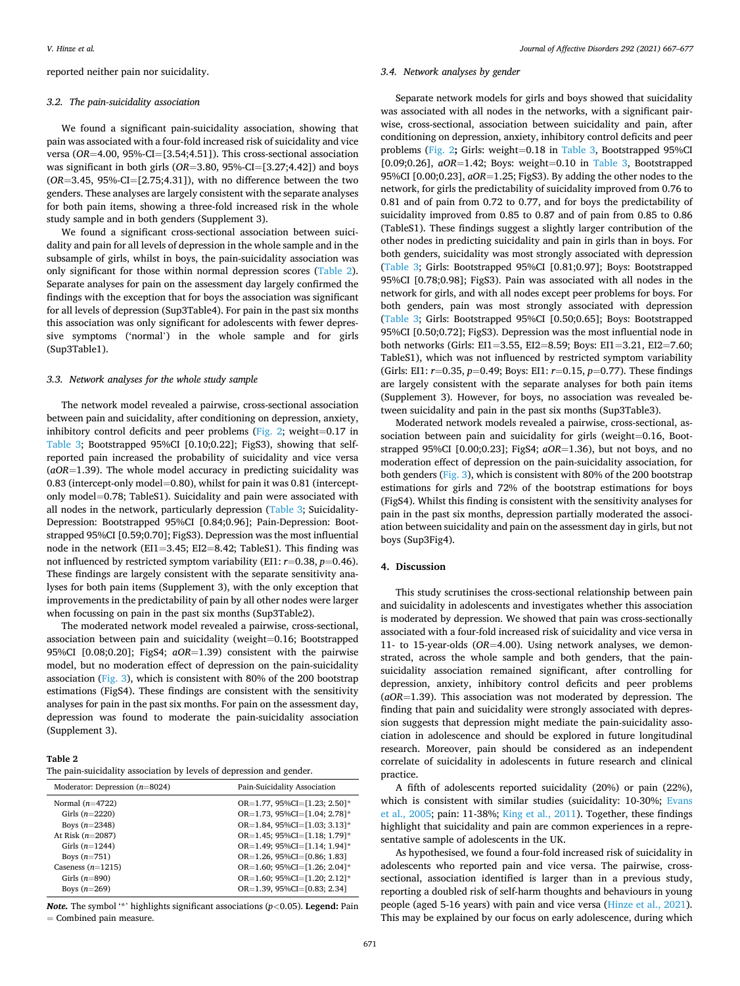reported neither pain nor suicidality.

#### *3.2. The pain-suicidality association*

We found a significant pain-suicidality association, showing that pain was associated with a four-fold increased risk of suicidality and vice versa (*OR*=4.00, 95%-CI=[3.54;4.51]). This cross-sectional association was significant in both girls (*OR*=3.80, 95%-CI=[3.27;4.42]) and boys (*OR*=3.45, 95%-CI=[2.75;4.31]), with no difference between the two genders. These analyses are largely consistent with the separate analyses for both pain items, showing a three-fold increased risk in the whole study sample and in both genders (Supplement 3).

We found a significant cross-sectional association between suicidality and pain for all levels of depression in the whole sample and in the subsample of girls, whilst in boys, the pain-suicidality association was only significant for those within normal depression scores (Table 2). Separate analyses for pain on the assessment day largely confirmed the findings with the exception that for boys the association was significant for all levels of depression (Sup3Table4). For pain in the past six months this association was only significant for adolescents with fewer depressive symptoms ('normal') in the whole sample and for girls (Sup3Table1).

#### *3.3. Network analyses for the whole study sample*

The network model revealed a pairwise, cross-sectional association between pain and suicidality, after conditioning on depression, anxiety, inhibitory control deficits and peer problems [\(Fig. 2](#page-5-0); weight=0.17 in [Table 3](#page-6-0); Bootstrapped 95%CI [0.10;0.22]; FigS3), showing that selfreported pain increased the probability of suicidality and vice versa (*aOR*=1.39). The whole model accuracy in predicting suicidality was 0.83 (intercept-only model=0.80), whilst for pain it was 0.81 (interceptonly model=0.78; TableS1). Suicidality and pain were associated with all nodes in the network, particularly depression ([Table 3;](#page-6-0) Suicidality-Depression: Bootstrapped 95%CI [0.84;0.96]; Pain-Depression: Bootstrapped 95%CI [0.59;0.70]; FigS3). Depression was the most influential node in the network (EI1=3.45; EI2=8.42; TableS1). This finding was not influenced by restricted symptom variability (EI1: *r*=0.38, *p*=0.46). These findings are largely consistent with the separate sensitivity analyses for both pain items (Supplement 3), with the only exception that improvements in the predictability of pain by all other nodes were larger when focussing on pain in the past six months (Sup3Table2).

The moderated network model revealed a pairwise, cross-sectional, association between pain and suicidality (weight=0.16; Bootstrapped 95%CI [0.08;0.20]; FigS4; *aOR*=1.39) consistent with the pairwise model, but no moderation effect of depression on the pain-suicidality association ([Fig. 3](#page-7-0)), which is consistent with 80% of the 200 bootstrap estimations (FigS4). These findings are consistent with the sensitivity analyses for pain in the past six months. For pain on the assessment day, depression was found to moderate the pain-suicidality association (Supplement 3).

**Table 2** 

| The pain-suicidality association by levels of depression and gender. |  |  |  |  |
|----------------------------------------------------------------------|--|--|--|--|
|----------------------------------------------------------------------|--|--|--|--|

| Moderator: Depression $(n=8024)$ | Pain-Suicidality Association                |  |  |
|----------------------------------|---------------------------------------------|--|--|
| Normal $(n=4722)$                | $OR=1.77, 95\%CI = [1.23; 2.50]$ *          |  |  |
| Girls $(n=2220)$                 | OR=1.73, 95%CI= $[1.04; 2.78]$ <sup>*</sup> |  |  |
| Boys $(n=2348)$                  | OR=1.84, 95%CI= $[1.03; 3.13]$ *            |  |  |
| At Risk $(n=2087)$               | OR=1.45; 95%CI=[1.18; 1.79]*                |  |  |
| Girls $(n=1244)$                 | OR=1.49; $95\%CI=[1.14; 1.94]$ *            |  |  |
| Boys $(n=751)$                   | $OR=1.26$ , $95\%CI=[0.86; 1.83]$           |  |  |
| Caseness $(n=1215)$              | OR=1.60; 95%CI= $[1.26; 2.04]$ *            |  |  |
| Girls $(n=890)$                  | OR=1.60; $95\%CI = [1.20; 2.12]$ *          |  |  |
| Boys $(n=269)$                   | $OR=1.39, 95\%CI = [0.83; 2.34]$            |  |  |

*Note.* The symbol '\*' highlights significant associations (*p<*0.05). **Legend:** Pain = Combined pain measure.

# *3.4. Network analyses by gender*

Separate network models for girls and boys showed that suicidality was associated with all nodes in the networks, with a significant pairwise, cross-sectional, association between suicidality and pain, after conditioning on depression, anxiety, inhibitory control deficits and peer problems [\(Fig. 2](#page-5-0)**;** Girls: weight=0.18 in [Table 3](#page-6-0), Bootstrapped 95%CI [ $0.09;0.26$ ],  $aOR=1.42$ ; Boys: weight=0.10 in [Table 3](#page-6-0), Bootstrapped 95%CI [0.00;0.23], *aOR*=1.25; FigS3). By adding the other nodes to the network, for girls the predictability of suicidality improved from 0.76 to 0.81 and of pain from 0.72 to 0.77, and for boys the predictability of suicidality improved from 0.85 to 0.87 and of pain from 0.85 to 0.86 (TableS1). These findings suggest a slightly larger contribution of the other nodes in predicting suicidality and pain in girls than in boys. For both genders, suicidality was most strongly associated with depression ([Table 3](#page-6-0); Girls: Bootstrapped 95%CI [0.81;0.97]; Boys: Bootstrapped 95%CI [0.78;0.98]; FigS3). Pain was associated with all nodes in the network for girls, and with all nodes except peer problems for boys. For both genders, pain was most strongly associated with depression ([Table 3](#page-6-0); Girls: Bootstrapped 95%CI [0.50;0.65]; Boys: Bootstrapped 95%CI [0.50;0.72]; FigS3). Depression was the most influential node in both networks (Girls: EI1=3.55, EI2=8.59; Boys: EI1=3.21, EI2=7.60; TableS1), which was not influenced by restricted symptom variability (Girls: EI1: *r*=0.35, *p*=0.49; Boys: EI1: *r*=0.15, *p*=0.77). These findings are largely consistent with the separate analyses for both pain items (Supplement 3). However, for boys, no association was revealed between suicidality and pain in the past six months (Sup3Table3).

Moderated network models revealed a pairwise, cross-sectional, association between pain and suicidality for girls (weight=0.16, Bootstrapped 95%CI [0.00;0.23]; FigS4; *aOR*=1.36), but not boys, and no moderation effect of depression on the pain-suicidality association, for both genders ([Fig. 3](#page-7-0)), which is consistent with 80% of the 200 bootstrap estimations for girls and 72% of the bootstrap estimations for boys (FigS4). Whilst this finding is consistent with the sensitivity analyses for pain in the past six months, depression partially moderated the association between suicidality and pain on the assessment day in girls, but not boys (Sup3Fig4).

# **4. Discussion**

This study scrutinises the cross-sectional relationship between pain and suicidality in adolescents and investigates whether this association is moderated by depression. We showed that pain was cross-sectionally associated with a four-fold increased risk of suicidality and vice versa in 11- to 15-year-olds (*OR*=4.00). Using network analyses, we demonstrated, across the whole sample and both genders, that the painsuicidality association remained significant, after controlling for depression, anxiety, inhibitory control deficits and peer problems (*aOR*=1.39). This association was not moderated by depression. The finding that pain and suicidality were strongly associated with depression suggests that depression might mediate the pain-suicidality association in adolescence and should be explored in future longitudinal research. Moreover, pain should be considered as an independent correlate of suicidality in adolescents in future research and clinical practice.

A fifth of adolescents reported suicidality (20%) or pain (22%), which is consistent with similar studies (suicidality: 10-30%; Evans [et al., 2005](#page-9-0); pain: 11-38%; [King et al., 2011](#page-9-0)). Together, these findings highlight that suicidality and pain are common experiences in a representative sample of adolescents in the UK.

As hypothesised, we found a four-fold increased risk of suicidality in adolescents who reported pain and vice versa. The pairwise, crosssectional, association identified is larger than in a previous study, reporting a doubled risk of self-harm thoughts and behaviours in young people (aged 5-16 years) with pain and vice versa [\(Hinze et al., 2021](#page-9-0)). This may be explained by our focus on early adolescence, during which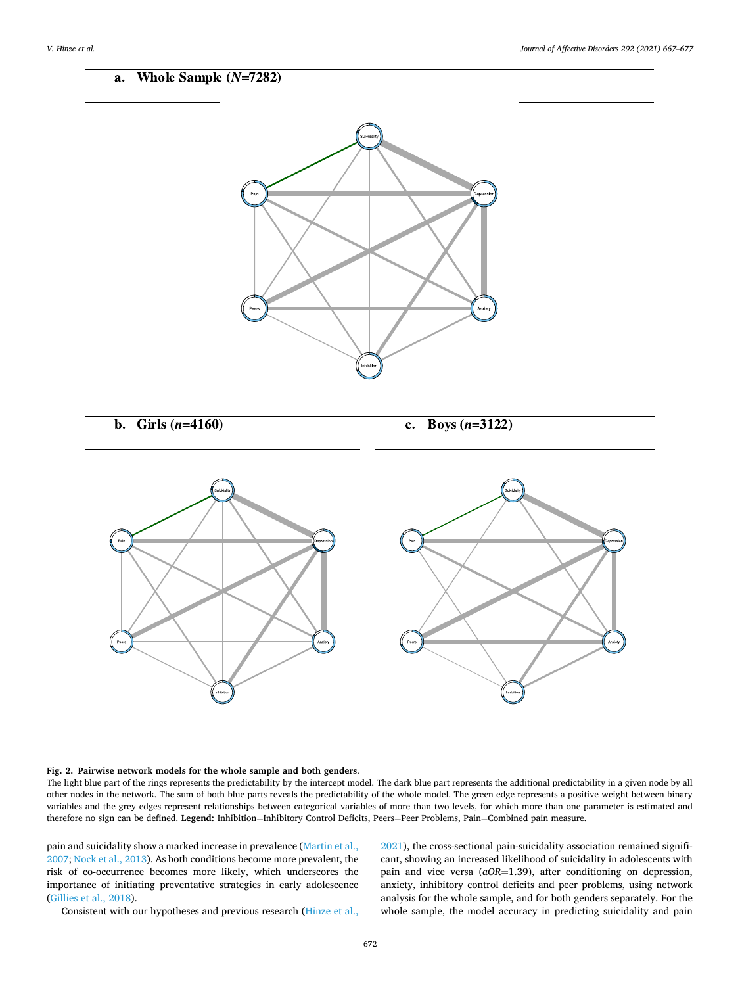<span id="page-5-0"></span>

#### **Fig. 2. Pairwise network models for the whole sample and both genders**.

The light blue part of the rings represents the predictability by the intercept model. The dark blue part represents the additional predictability in a given node by all other nodes in the network. The sum of both blue parts reveals the predictability of the whole model. The green edge represents a positive weight between binary variables and the grey edges represent relationships between categorical variables of more than two levels, for which more than one parameter is estimated and therefore no sign can be defined. **Legend:** Inhibition=Inhibitory Control Deficits, Peers=Peer Problems, Pain=Combined pain measure.

pain and suicidality show a marked increase in prevalence ([Martin et al.,](#page-9-0)  [2007; Nock et al., 2013](#page-9-0)). As both conditions become more prevalent, the risk of co-occurrence becomes more likely, which underscores the importance of initiating preventative strategies in early adolescence ([Gillies et al., 2018](#page-9-0)).

[2021\)](#page-9-0), the cross-sectional pain-suicidality association remained significant, showing an increased likelihood of suicidality in adolescents with pain and vice versa (*aOR*=1.39), after conditioning on depression, anxiety, inhibitory control deficits and peer problems, using network analysis for the whole sample, and for both genders separately. For the whole sample, the model accuracy in predicting suicidality and pain

Consistent with our hypotheses and previous research ([Hinze et al.,](#page-9-0)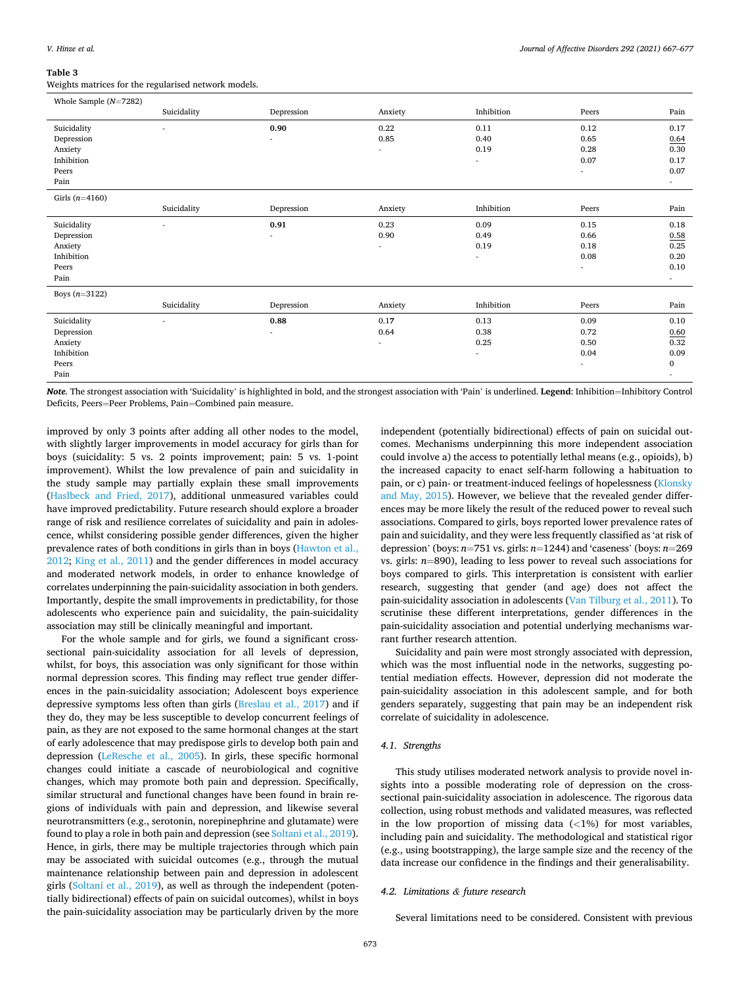#### <span id="page-6-0"></span>**Table 3**

Weights matrices for the regularised network models.

| Whole Sample $(N=7282)$                                             |             |            |                                          |                                |                                                          |                                                |
|---------------------------------------------------------------------|-------------|------------|------------------------------------------|--------------------------------|----------------------------------------------------------|------------------------------------------------|
|                                                                     | Suicidality | Depression | Anxiety                                  | Inhibition                     | Peers                                                    | Pain                                           |
| Suicidality<br>Depression<br>Anxiety<br>Inhibition<br>Peers<br>Pain |             | 0.90       | 0.22<br>0.85                             | 0.11<br>0.40<br>0.19<br>$\sim$ | 0.12<br>0.65<br>0.28<br>0.07<br>$\overline{\phantom{a}}$ | 0.17<br>0.64<br>0.30<br>0.17<br>0.07<br>$\sim$ |
| Girls $(n=4160)$                                                    |             |            |                                          |                                |                                                          |                                                |
|                                                                     | Suicidality | Depression | Anxiety                                  | Inhibition                     | Peers                                                    | Pain                                           |
| Suicidality<br>Depression<br>Anxiety<br>Inhibition<br>Peers<br>Pain |             | 0.91<br>٠  | 0.23<br>0.90<br>٠                        | 0.09<br>0.49<br>0.19<br>٠      | 0.15<br>0.66<br>0.18<br>0.08<br>$\overline{\phantom{a}}$ | 0.18<br>0.58<br>0.25<br>0.20<br>0.10<br>٠      |
| Boys $(n=3122)$                                                     |             |            |                                          |                                |                                                          |                                                |
|                                                                     | Suicidality | Depression | Anxiety                                  | Inhibition                     | Peers                                                    | Pain                                           |
| Suicidality<br>Depression<br>Anxiety<br>Inhibition<br>Peers<br>Pain |             | 0.88<br>٠  | 0.17<br>0.64<br>$\overline{\phantom{a}}$ | 0.13<br>0.38<br>0.25<br>٠      | 0.09<br>0.72<br>0.50<br>0.04<br>٠                        | 0.10<br>0.60<br>0.32<br>0.09<br>$\bf{0}$<br>٠  |

*Note.* The strongest association with 'Suicidality' is highlighted in bold, and the strongest association with 'Pain' is underlined. **Legend**: Inhibition=Inhibitory Control Deficits, Peers=Peer Problems, Pain=Combined pain measure.

improved by only 3 points after adding all other nodes to the model, with slightly larger improvements in model accuracy for girls than for boys (suicidality: 5 vs. 2 points improvement; pain: 5 vs. 1-point improvement). Whilst the low prevalence of pain and suicidality in the study sample may partially explain these small improvements ([Haslbeck and Fried, 2017\)](#page-9-0), additional unmeasured variables could have improved predictability. Future research should explore a broader range of risk and resilience correlates of suicidality and pain in adolescence, whilst considering possible gender differences, given the higher prevalence rates of both conditions in girls than in boys ([Hawton et al.,](#page-9-0)  [2012; King et al., 2011](#page-9-0)) and the gender differences in model accuracy and moderated network models, in order to enhance knowledge of correlates underpinning the pain-suicidality association in both genders. Importantly, despite the small improvements in predictability, for those adolescents who experience pain and suicidality, the pain-suicidality association may still be clinically meaningful and important.

For the whole sample and for girls, we found a significant crosssectional pain-suicidality association for all levels of depression, whilst, for boys, this association was only significant for those within normal depression scores. This finding may reflect true gender differences in the pain-suicidality association; Adolescent boys experience depressive symptoms less often than girls ([Breslau et al., 2017\)](#page-9-0) and if they do, they may be less susceptible to develop concurrent feelings of pain, as they are not exposed to the same hormonal changes at the start of early adolescence that may predispose girls to develop both pain and depression ([LeResche et al., 2005](#page-9-0)). In girls, these specific hormonal changes could initiate a cascade of neurobiological and cognitive changes, which may promote both pain and depression. Specifically, similar structural and functional changes have been found in brain regions of individuals with pain and depression, and likewise several neurotransmitters (e.g., serotonin, norepinephrine and glutamate) were found to play a role in both pain and depression (see [Soltani et al., 2019](#page-10-0)). Hence, in girls, there may be multiple trajectories through which pain may be associated with suicidal outcomes (e.g., through the mutual maintenance relationship between pain and depression in adolescent girls ([Soltani et al., 2019\)](#page-10-0), as well as through the independent (potentially bidirectional) effects of pain on suicidal outcomes), whilst in boys the pain-suicidality association may be particularly driven by the more independent (potentially bidirectional) effects of pain on suicidal outcomes. Mechanisms underpinning this more independent association could involve a) the access to potentially lethal means (e.g., opioids), b) the increased capacity to enact self-harm following a habituation to pain, or c) pain- or treatment-induced feelings of hopelessness ([Klonsky](#page-9-0)  [and May, 2015\)](#page-9-0). However, we believe that the revealed gender differences may be more likely the result of the reduced power to reveal such associations. Compared to girls, boys reported lower prevalence rates of pain and suicidality, and they were less frequently classified as 'at risk of depression' (boys: *n*=751 vs. girls: *n*=1244) and 'caseness' (boys: *n*=269 vs. girls: *n*=890), leading to less power to reveal such associations for boys compared to girls. This interpretation is consistent with earlier research, suggesting that gender (and age) does not affect the pain-suicidality association in adolescents [\(Van Tilburg et al., 2011](#page-10-0)). To scrutinise these different interpretations, gender differences in the pain-suicidality association and potential underlying mechanisms warrant further research attention.

Suicidality and pain were most strongly associated with depression, which was the most influential node in the networks, suggesting potential mediation effects. However, depression did not moderate the pain-suicidality association in this adolescent sample, and for both genders separately, suggesting that pain may be an independent risk correlate of suicidality in adolescence.

### *4.1. Strengths*

This study utilises moderated network analysis to provide novel insights into a possible moderating role of depression on the crosssectional pain-suicidality association in adolescence. The rigorous data collection, using robust methods and validated measures, was reflected in the low proportion of missing data (*<*1%) for most variables, including pain and suicidality. The methodological and statistical rigor (e.g., using bootstrapping), the large sample size and the recency of the data increase our confidence in the findings and their generalisability.

# *4.2. Limitations & future research*

Several limitations need to be considered. Consistent with previous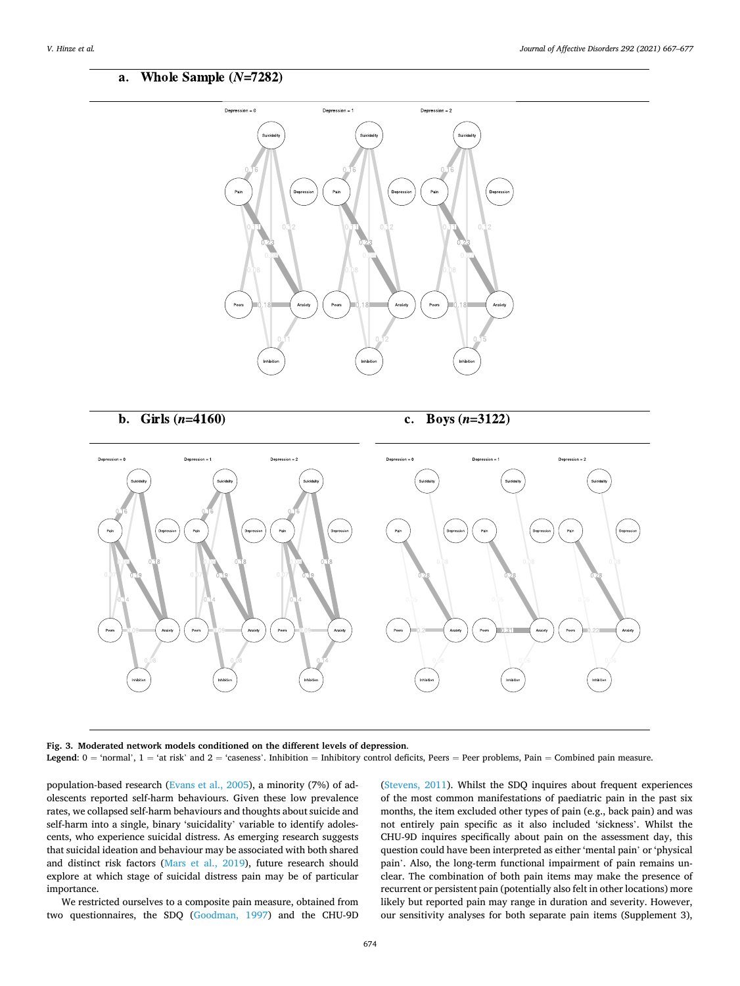#### <span id="page-7-0"></span>Whole Sample  $(N=7282)$ a.



b. Girls  $(n=4160)$ 

Boys  $(n=3122)$ c.



**Fig. 3. Moderated network models conditioned on the different levels of depression**. Legend:  $0 = 'normal', 1 = 'at risk'$  and  $2 = 'cases'.$  Inhibition = Inhibitory control deficits, Peers = Peer problems, Pain = Combined pain measure.

population-based research [\(Evans et al., 2005](#page-9-0)), a minority (7%) of adolescents reported self-harm behaviours. Given these low prevalence rates, we collapsed self-harm behaviours and thoughts about suicide and self-harm into a single, binary 'suicidality' variable to identify adolescents, who experience suicidal distress. As emerging research suggests that suicidal ideation and behaviour may be associated with both shared and distinct risk factors [\(Mars et al., 2019](#page-9-0)), future research should explore at which stage of suicidal distress pain may be of particular importance.

We restricted ourselves to a composite pain measure, obtained from two questionnaires, the SDQ [\(Goodman, 1997\)](#page-9-0) and the CHU-9D

([Stevens, 2011\)](#page-10-0). Whilst the SDQ inquires about frequent experiences of the most common manifestations of paediatric pain in the past six months, the item excluded other types of pain (e.g., back pain) and was not entirely pain specific as it also included 'sickness'. Whilst the CHU-9D inquires specifically about pain on the assessment day, this question could have been interpreted as either 'mental pain' or 'physical pain'. Also, the long-term functional impairment of pain remains unclear. The combination of both pain items may make the presence of recurrent or persistent pain (potentially also felt in other locations) more likely but reported pain may range in duration and severity. However, our sensitivity analyses for both separate pain items (Supplement 3),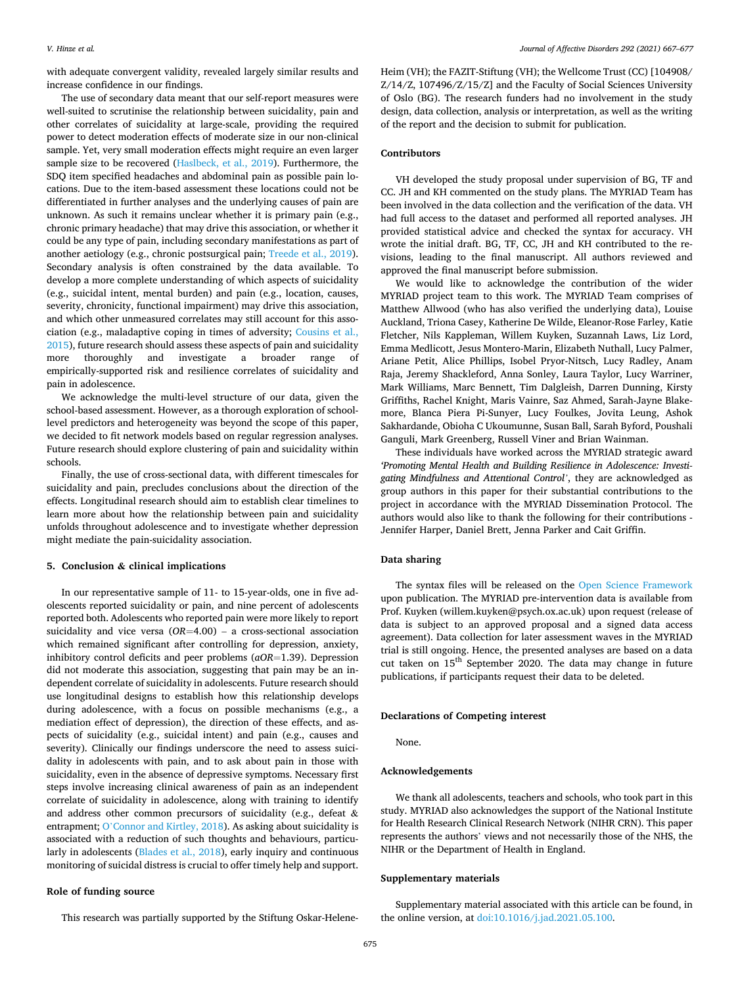with adequate convergent validity, revealed largely similar results and increase confidence in our findings.

The use of secondary data meant that our self-report measures were well-suited to scrutinise the relationship between suicidality, pain and other correlates of suicidality at large-scale, providing the required power to detect moderation effects of moderate size in our non-clinical sample. Yet, very small moderation effects might require an even larger sample size to be recovered [\(Haslbeck, et al., 2019](#page-9-0)). Furthermore, the SDQ item specified headaches and abdominal pain as possible pain locations. Due to the item-based assessment these locations could not be differentiated in further analyses and the underlying causes of pain are unknown. As such it remains unclear whether it is primary pain (e.g., chronic primary headache) that may drive this association, or whether it could be any type of pain, including secondary manifestations as part of another aetiology (e.g., chronic postsurgical pain; [Treede et al., 2019](#page-10-0)). Secondary analysis is often constrained by the data available. To develop a more complete understanding of which aspects of suicidality (e.g., suicidal intent, mental burden) and pain (e.g., location, causes, severity, chronicity, functional impairment) may drive this association, and which other unmeasured correlates may still account for this association (e.g., maladaptive coping in times of adversity; [Cousins et al.,](#page-9-0)  [2015\)](#page-9-0), future research should assess these aspects of pain and suicidality more thoroughly and investigate a broader range of empirically-supported risk and resilience correlates of suicidality and pain in adolescence.

We acknowledge the multi-level structure of our data, given the school-based assessment. However, as a thorough exploration of schoollevel predictors and heterogeneity was beyond the scope of this paper, we decided to fit network models based on regular regression analyses. Future research should explore clustering of pain and suicidality within schools.

Finally, the use of cross-sectional data, with different timescales for suicidality and pain, precludes conclusions about the direction of the effects. Longitudinal research should aim to establish clear timelines to learn more about how the relationship between pain and suicidality unfolds throughout adolescence and to investigate whether depression might mediate the pain-suicidality association.

# **5. Conclusion & clinical implications**

In our representative sample of 11- to 15-year-olds, one in five adolescents reported suicidality or pain, and nine percent of adolescents reported both. Adolescents who reported pain were more likely to report suicidality and vice versa (*OR*=4.00) – a cross-sectional association which remained significant after controlling for depression, anxiety, inhibitory control deficits and peer problems (*aOR*=1.39). Depression did not moderate this association, suggesting that pain may be an independent correlate of suicidality in adolescents. Future research should use longitudinal designs to establish how this relationship develops during adolescence, with a focus on possible mechanisms (e.g., a mediation effect of depression), the direction of these effects, and aspects of suicidality (e.g., suicidal intent) and pain (e.g., causes and severity). Clinically our findings underscore the need to assess suicidality in adolescents with pain, and to ask about pain in those with suicidality, even in the absence of depressive symptoms. Necessary first steps involve increasing clinical awareness of pain as an independent correlate of suicidality in adolescence, along with training to identify and address other common precursors of suicidality (e.g., defeat & entrapment; O'[Connor and Kirtley, 2018\)](#page-9-0). As asking about suicidality is associated with a reduction of such thoughts and behaviours, particularly in adolescents ([Blades et al., 2018\)](#page-9-0), early inquiry and continuous monitoring of suicidal distress is crucial to offer timely help and support.

# **Role of funding source**

This research was partially supported by the Stiftung Oskar-Helene-

Heim (VH); the FAZIT-Stiftung (VH); the Wellcome Trust (CC) [104908/ Z/14/Z, 107496/Z/15/Z] and the Faculty of Social Sciences University of Oslo (BG). The research funders had no involvement in the study design, data collection, analysis or interpretation, as well as the writing of the report and the decision to submit for publication.

# **Contributors**

VH developed the study proposal under supervision of BG, TF and CC. JH and KH commented on the study plans. The MYRIAD Team has been involved in the data collection and the verification of the data. VH had full access to the dataset and performed all reported analyses. JH provided statistical advice and checked the syntax for accuracy. VH wrote the initial draft. BG, TF, CC, JH and KH contributed to the revisions, leading to the final manuscript. All authors reviewed and approved the final manuscript before submission.

We would like to acknowledge the contribution of the wider MYRIAD project team to this work. The MYRIAD Team comprises of Matthew Allwood (who has also verified the underlying data), Louise Auckland, Triona Casey, Katherine De Wilde, Eleanor-Rose Farley, Katie Fletcher, Nils Kappleman, Willem Kuyken, Suzannah Laws, Liz Lord, Emma Medlicott, Jesus Montero-Marin, Elizabeth Nuthall, Lucy Palmer, Ariane Petit, Alice Phillips, Isobel Pryor-Nitsch, Lucy Radley, Anam Raja, Jeremy Shackleford, Anna Sonley, Laura Taylor, Lucy Warriner, Mark Williams, Marc Bennett, Tim Dalgleish, Darren Dunning, Kirsty Griffiths, Rachel Knight, Maris Vainre, Saz Ahmed, Sarah-Jayne Blakemore, Blanca Piera Pi-Sunyer, Lucy Foulkes, Jovita Leung, Ashok Sakhardande, Obioha C Ukoumunne, Susan Ball, Sarah Byford, Poushali Ganguli, Mark Greenberg, Russell Viner and Brian Wainman.

These individuals have worked across the MYRIAD strategic award *'Promoting Mental Health and Building Resilience in Adolescence: Investigating Mindfulness and Attentional Control'*, they are acknowledged as group authors in this paper for their substantial contributions to the project in accordance with the MYRIAD Dissemination Protocol. The authors would also like to thank the following for their contributions - Jennifer Harper, Daniel Brett, Jenna Parker and Cait Griffin.

# **Data sharing**

The syntax files will be released on the [Open Science Framework](https://osf.io/r8cg9/?view_only=c0d76e1530534cd59f5e210d11923299)  upon publication. The MYRIAD pre-intervention data is available from Prof. Kuyken (willem.kuyken@psych.ox.ac.uk) upon request (release of data is subject to an approved proposal and a signed data access agreement). Data collection for later assessment waves in the MYRIAD trial is still ongoing. Hence, the presented analyses are based on a data cut taken on 15<sup>th</sup> September 2020. The data may change in future publications, if participants request their data to be deleted.

### **Declarations of Competing interest**

None.

#### **Acknowledgements**

We thank all adolescents, teachers and schools, who took part in this study. MYRIAD also acknowledges the support of the National Institute for Health Research Clinical Research Network (NIHR CRN). This paper represents the authors' views and not necessarily those of the NHS, the NIHR or the Department of Health in England.

# **Supplementary materials**

Supplementary material associated with this article can be found, in the online version, at [doi:10.1016/j.jad.2021.05.100](https://doi.org/10.1016/j.jad.2021.05.100).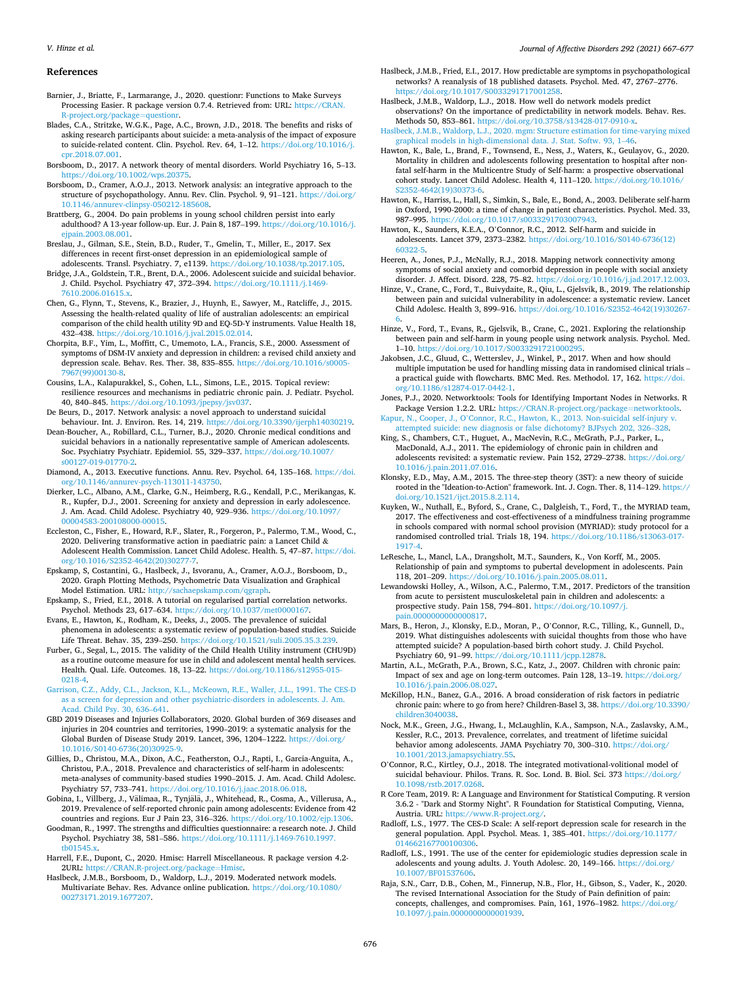#### <span id="page-9-0"></span>*V. Hinze et al.*

#### **References**

- Barnier, J., Briatte, F., Larmarange, J., 2020. questionr: Functions to Make Surveys Processing Easier. R package version 0.7.4. Retrieved from: URL: [https://CRAN.](https://CRAN.R-project.org/package=questionr) [R-project.org/package](https://CRAN.R-project.org/package=questionr)=questionr.
- Blades, C.A., Stritzke, W.G.K., Page, A.C., Brown, J.D., 2018. The benefits and risks of asking research participants about suicide: a meta-analysis of the impact of exposure to suicide-related content. Clin. Psychol. Rev. 64, 1–12. [https://doi.org/10.1016/j.](https://doi.org/10.1016/j.cpr.2018.07.001)  [cpr.2018.07.001](https://doi.org/10.1016/j.cpr.2018.07.001).
- Borsboom, D., 2017. A network theory of mental disorders. World Psychiatry 16, 5–13. <https://doi.org/10.1002/wps.20375>.
- Borsboom, D., Cramer, A.O.J., 2013. Network analysis: an integrative approach to the structure of psychopathology. Annu. Rev. Clin. Psychol. 9, 91–121. [https://doi.org/](https://doi.org/10.1146/annurev-clinpsy-050212-185608)  [10.1146/annurev-clinpsy-050212-185608](https://doi.org/10.1146/annurev-clinpsy-050212-185608).
- Brattberg, G., 2004. Do pain problems in young school children persist into early adulthood? A 13-year follow-up. Eur. J. Pain 8, 187–199. [https://doi.org/10.1016/j.](https://doi.org/10.1016/j.ejpain.2003.08.001)  [ejpain.2003.08.001.](https://doi.org/10.1016/j.ejpain.2003.08.001)
- Breslau, J., Gilman, S.E., Stein, B.D., Ruder, T., Gmelin, T., Miller, E., 2017. Sex differences in recent first-onset depression in an epidemiological sample of adolescents. Transl. Psychiatry. 7, e1139. [https://doi.org/10.1038/tp.2017.105.](https://doi.org/10.1038/tp.2017.105)
- Bridge, J.A., Goldstein, T.R., Brent, D.A., 2006. Adolescent suicide and suicidal behavior. J. Child. Psychol. Psychiatry 47, 372–394. [https://doi.org/10.1111/j.1469-](https://doi.org/10.1111/j.1469-7610.2006.01615.x) [7610.2006.01615.x.](https://doi.org/10.1111/j.1469-7610.2006.01615.x)
- Chen, G., Flynn, T., Stevens, K., Brazier, J., Huynh, E., Sawyer, M., Ratcliffe, J., 2015. Assessing the health-related quality of life of australian adolescents: an empirical comparison of the child health utility 9D and EQ-5D-Y instruments. Value Health 18, 432–438. [https://doi.org/10.1016/j.jval.2015.02.014.](https://doi.org/10.1016/j.jval.2015.02.014)
- Chorpita, B.F., Yim, L., Moffitt, C., Umemoto, L.A., Francis, S.E., 2000. Assessment of symptoms of DSM-IV anxiety and depression in children: a revised child anxiety and depression scale. Behav. Res. Ther. 38, 835–855. [https://doi.org/10.1016/s0005-](https://doi.org/10.1016/s0005-7967(99)00130-8)  [7967\(99\)00130-8](https://doi.org/10.1016/s0005-7967(99)00130-8).
- Cousins, L.A., Kalapurakkel, S., Cohen, L.L., Simons, L.E., 2015. Topical review: resilience resources and mechanisms in pediatric chronic pain. J. Pediatr. Psychol. 40, 840–845. [https://doi.org/10.1093/jpepsy/jsv037.](https://doi.org/10.1093/jpepsy/jsv037)
- De Beurs, D., 2017. Network analysis: a novel approach to understand suicidal behaviour. Int. J. Environ. Res. 14, 219.<https://doi.org/10.3390/ijerph14030219>.
- Dean-Boucher, A., Robillard, C.L., Turner, B.J., 2020. Chronic medical conditions and suicidal behaviors in a nationally representative sample of American adolescents. Soc. Psychiatry Psychiatr. Epidemiol. 55, 329–337. [https://doi.org/10.1007/](https://doi.org/10.1007/s00127-019-01770-2)  [s00127-019-01770-2](https://doi.org/10.1007/s00127-019-01770-2).
- Diamond, A., 2013. Executive functions. Annu. Rev. Psychol. 64, 135–168. [https://doi.](https://doi.org/10.1146/annurev-psych-113011-143750)  [org/10.1146/annurev-psych-113011-143750.](https://doi.org/10.1146/annurev-psych-113011-143750)
- Dierker, L.C., Albano, A.M., Clarke, G.N., Heimberg, R.G., Kendall, P.C., Merikangas, K. R., Kupfer, D.J., 2001. Screening for anxiety and depression in early adolescence. J. Am. Acad. Child Adolesc. Psychiatry 40, 929–936. [https://doi.org/10.1097/](https://doi.org/10.1097/00004583-200108000-00015) [00004583-200108000-00015.](https://doi.org/10.1097/00004583-200108000-00015)
- Eccleston, C., Fisher, E., Howard, R.F., Slater, R., Forgeron, P., Palermo, T.M., Wood, C., 2020. Delivering transformative action in paediatric pain: a Lancet Child & Adolescent Health Commission. Lancet Child Adolesc. Health. 5, 47–87. [https://doi.](https://doi.org/10.1016/S2352-4642(20)30277-7)  [org/10.1016/S2352-4642\(20\)30277-7](https://doi.org/10.1016/S2352-4642(20)30277-7).
- Epskamp, S, Costantini, G., Haslbeck, J., Isvoranu, A., Cramer, A.O.J., Borsboom, D., 2020. Graph Plotting Methods, Psychometric Data Visualization and Graphical Model Estimation. URL:<http://sachaepskamp.com/qgraph>.
- Epskamp, S., Fried, E.I., 2018. A tutorial on regularised partial correlation networks. Psychol. Methods 23, 617-634. https://doi.org/10.1037/met000016
- Evans, E., Hawton, K., Rodham, K., Deeks, J., 2005. The prevalence of suicidal phenomena in adolescents: a systematic review of population-based studies. Suicide Life Threat. Behav. 35, 239–250. <https://doi.org/10.1521/suli.2005.35.3.239>.
- Furber, G., Segal, L., 2015. The validity of the Child Health Utility instrument (CHU9D) as a routine outcome measure for use in child and adolescent mental health services. Health. Qual. Life. Outcomes. 18, 13–22. [https://doi.org/10.1186/s12955-015-](https://doi.org/10.1186/s12955-015-0218-4)  [0218-4.](https://doi.org/10.1186/s12955-015-0218-4)
- [Garrison, C.Z., Addy, C.L., Jackson, K.L., McKeown, R.E., Waller, J.L., 1991. The CES-D](http://refhub.elsevier.com/S0165-0327(21)00545-0/sbref0020)  [as a screen for depression and other psychiatric-disorders in adolescents. J. Am.](http://refhub.elsevier.com/S0165-0327(21)00545-0/sbref0020)  [Acad. Child Psy. 30, 636](http://refhub.elsevier.com/S0165-0327(21)00545-0/sbref0020)–641.
- GBD 2019 Diseases and Injuries Collaborators, 2020. Global burden of 369 diseases and injuries in 204 countries and territories, 1990–2019: a systematic analysis for the Global Burden of Disease Study 2019. Lancet, 396, 1204–1222. [https://doi.org/](https://doi.org/10.1016/S0140-6736(20)30925-9) 10.1016/S0140-6736(20)3092
- Gillies, D., Christou, M.A., Dixon, A.C., Featherston, O.J., Rapti, I., Garcia-Anguita, A., Christou, P.A., 2018. Prevalence and characteristics of self-harm in adolescents: meta-analyses of community-based studies 1990–2015. J. Am. Acad. Child Adolesc. Psychiatry 57, 733–741. <https://doi.org/10.1016/j.jaac.2018.06.018>.
- Gobina, I., Villberg, J., Välimaa, R., Tynjälä, J., Whitehead, R., Cosma, A., Villerusa, A., 2019. Prevalence of self-reported chronic pain among adolescents: Evidence from 42 countries and regions. Eur J Pain 23, 316–326. [https://doi.org/10.1002/ejp.1306.](https://doi.org/10.1002/ejp.1306)
- Goodman, R., 1997. The strengths and difficulties questionnaire: a research note. J. Child Psychol. Psychiatry 38, 581–586. [https://doi.org/10.1111/j.1469-7610.1997.](https://doi.org/10.1111/j.1469-7610.1997.tb01545.x) [tb01545.x](https://doi.org/10.1111/j.1469-7610.1997.tb01545.x).
- Harrell, F.E., Dupont, C., 2020. Hmisc: Harrell Miscellaneous. R package version 4.2- 2URL: [https://CRAN.R-project.org/package](https://CRAN.R-project.org/package=Hmisc)=Hmisc.
- Haslbeck, J.M.B., Borsboom, D., Waldorp, L.J., 2019. Moderated network models. Multivariate Behav. Res. Advance online publication. [https://doi.org/10.1080/](https://doi.org/10.1080/00273171.2019.1677207) [00273171.2019.1677207](https://doi.org/10.1080/00273171.2019.1677207).
- Haslbeck, J.M.B., Fried, E.I., 2017. How predictable are symptoms in psychopathological networks? A reanalysis of 18 published datasets. Psychol. Med. 47, 2767–2776. <https://doi.org/10.1017/S0033291717001258>.
- Haslbeck, J.M.B., Waldorp, L.J., 2018. How well do network models predict observations? On the importance of predictability in network models. Behav. Res. Methods 50, 853–861. <https://doi.org/10.3758/s13428-017-0910-x>.
- [Haslbeck, J.M.B., Waldorp, L.J., 2020. mgm: Structure estimation for time-varying mixed](http://refhub.elsevier.com/S0165-0327(21)00545-0/sbref0029)  [graphical models in high-dimensional data. J. Stat. Softw. 93, 1](http://refhub.elsevier.com/S0165-0327(21)00545-0/sbref0029)–46.
- Hawton, K., Bale, L., Brand, F., Townsend, E., Ness, J., Waters, K., Geulayov, G., 2020. Mortality in children and adolescents following presentation to hospital after nonfatal self-harm in the Multicentre Study of Self-harm: a prospective observational cohort study. Lancet Child Adolesc. Health 4, 111–120. [https://doi.org/10.1016/](https://doi.org/10.1016/S2352-4642(19)30373-6)  [S2352-4642\(19\)30373-6](https://doi.org/10.1016/S2352-4642(19)30373-6).
- Hawton, K., Harriss, L., Hall, S., Simkin, S., Bale, E., Bond, A., 2003. Deliberate self-harm in Oxford, 1990-2000: a time of change in patient characteristics. Psychol. Med. 33, 987–995. [https://doi.org/10.1017/s0033291703007943.](https://doi.org/10.1017/s0033291703007943)
- Hawton, K., Saunders, K.E.A., O'Connor, R.C., 2012. Self-harm and suicide in adolescents. Lancet 379, 2373–2382. [https://doi.org/10.1016/S0140-6736\(12\)](https://doi.org/10.1016/S0140-6736(12)60322-5)  [60322-5](https://doi.org/10.1016/S0140-6736(12)60322-5).
- Heeren, A., Jones, P.J., McNally, R.J., 2018. Mapping network connectivity among symptoms of social anxiety and comorbid depression in people with social anxiety disorder. J. Affect. Disord. 228, 75–82. [https://doi.org/10.1016/j.jad.2017.12.003.](https://doi.org/10.1016/j.jad.2017.12.003)
- Hinze, V., Crane, C., Ford, T., Buivydaite, R., Qiu, L., Gjelsvik, B., 2019. The relationship between pain and suicidal vulnerability in adolescence: a systematic review. Lancet Child Adolesc. Health 3, 899–916. [https://doi.org/10.1016/S2352-4642\(19\)30267-](https://doi.org/10.1016/S2352-4642(19)30267-6)
- [6](https://doi.org/10.1016/S2352-4642(19)30267-6). Hinze, V., Ford, T., Evans, R., Gjelsvik, B., Crane, C., 2021. Exploring the relationship between pain and self-harm in young people using network analysis. Psychol. Med. 1–10. [https://doi.org/10.1017/S0033291721000295.](https://doi.org/10.1017/S0033291721000295)
- Jakobsen, J.C., Gluud, C., Wetterslev, J., Winkel, P., 2017. When and how should multiple imputation be used for handling missing data in randomised clinical trials – a practical guide with flowcharts. BMC Med. Res. Methodol. 17, 162. [https://doi.](https://doi.org/10.1186/s12874-017-0442-1)  [org/10.1186/s12874-017-0442-1.](https://doi.org/10.1186/s12874-017-0442-1)
- Jones, P.J., 2020. Networktools: Tools for Identifying Important Nodes in Networks. R Package Version 1.2.2. URL: [https://CRAN.R-project.org/package](https://CRAN.R-project.org/package=networktools)=networktools Kapur, N., Cooper, J., O'[Connor, R.C., Hawton, K., 2013. Non-suicidal self-injury v.](http://refhub.elsevier.com/S0165-0327(21)00545-0/sbref0038)
- [attempted suicide: new diagnosis or false dichotomy? BJPsych 202, 326](http://refhub.elsevier.com/S0165-0327(21)00545-0/sbref0038)–328. King, S., Chambers, C.T., Huguet, A., MacNevin, R.C., McGrath, P.J., Parker, L.,
- MacDonald, A.J., 2011. The epidemiology of chronic pain in children and adolescents revisited: a systematic review. Pain 152, 2729–2738. [https://doi.org/](https://doi.org/10.1016/j.pain.2011.07.016)  [10.1016/j.pain.2011.07.016.](https://doi.org/10.1016/j.pain.2011.07.016)
- Klonsky, E.D., May, A.M., 2015. The three-step theory (3ST): a new theory of suicide rooted in the "Ideation-to-Action" framework. Int. J. Cogn. Ther. 8, 114–129. [https://](https://doi.org/10.1521/ijct.2015.8.2.114)  [doi.org/10.1521/ijct.2015.8.2.114.](https://doi.org/10.1521/ijct.2015.8.2.114)
- Kuyken, W., Nuthall, E., Byford, S., Crane, C., Dalgleish, T., Ford, T., the MYRIAD team, 2017. The effectiveness and cost-effectiveness of a mindfulness training programme in schools compared with normal school provision (MYRIAD): study protocol for a randomised controlled trial. Trials 18, 194. [https://doi.org/10.1186/s13063-017-](https://doi.org/10.1186/s13063-017-1917-4) [1917-4.](https://doi.org/10.1186/s13063-017-1917-4)
- LeResche, L., Mancl, L.A., Drangsholt, M.T., Saunders, K., Von Korff, M., 2005. Relationship of pain and symptoms to pubertal development in adolescents. Pain 118, 201–209. <https://doi.org/10.1016/j.pain.2005.08.011>.
- Lewandowski Holley, A., Wilson, A.C., Palermo, T.M., 2017. Predictors of the transition from acute to persistent musculoskeletal pain in children and adolescents: a prospective study. Pain 158, 794–801. [https://doi.org/10.1097/j.](https://doi.org/10.1097/j.pain.0000000000000817)  [pain.0000000000000817](https://doi.org/10.1097/j.pain.0000000000000817).
- Mars, B., Heron, J., Klonsky, E.D., Moran, P., O'Connor, R.C., Tilling, K., Gunnell, D., 2019. What distinguishes adolescents with suicidal thoughts from those who have attempted suicide? A population-based birth cohort study. J. Child Psychol. Psychiatry 60, 91-99. https://doi.org/10.1111/jcpp.1287
- Martin, A.L., McGrath, P.A., Brown, S.C., Katz, J., 2007. Children with chronic pain: Impact of sex and age on long-term outcomes. Pain 128, 13–19. [https://doi.org/](https://doi.org/10.1016/j.pain.2006.08.027)  [10.1016/j.pain.2006.08.027.](https://doi.org/10.1016/j.pain.2006.08.027)
- McKillop, H.N., Banez, G.A., 2016. A broad consideration of risk factors in pediatric chronic pain: where to go from here? Children-Basel 3, 38. [https://doi.org/10.3390/](https://doi.org/10.3390/children3040038)  [children3040038.](https://doi.org/10.3390/children3040038)
- Nock, M.K., Green, J.G., Hwang, I., McLaughlin, K.A., Sampson, N.A., Zaslavsky, A.M., Kessler, R.C., 2013. Prevalence, correlates, and treatment of lifetime suicidal behavior among adolescents. JAMA Psychiatry 70, 300-310. https://doi.org/ [10.1001/2013.jamapsychiatry.55](https://doi.org/10.1001/2013.jamapsychiatry.55).
- O'Connor, R.C., Kirtley, O.J., 2018. The integrated motivational-volitional model of suicidal behaviour. Philos. Trans. R. Soc. Lond. B. Biol. Sci. 373 https://doi.org [10.1098/rstb.2017.0268](https://doi.org/10.1098/rstb.2017.0268).
- R Core Team, 2019. R: A Language and Environment for Statistical Computing. R version 3.6.2 - "Dark and Stormy Night". R Foundation for Statistical Computing, Vienna, Austria. URL: [https://www.R-project.org/.](https://www.R-project.org/)
- Radloff, L.S., 1977. The CES-D Scale: A self-report depression scale for research in the general population. Appl. Psychol. Meas. 1, 385–401. [https://doi.org/10.1177/](https://doi.org/10.1177/014662167700100306) [014662167700100306](https://doi.org/10.1177/014662167700100306).
- Radloff, L.S., 1991. The use of the center for epidemiologic studies depression scale in adolescents and young adults. J. Youth Adolesc. 20, 149–166. [https://doi.org/](https://doi.org/10.1007/BF01537606)  [10.1007/BF01537606](https://doi.org/10.1007/BF01537606).
- Raja, S.N., Carr, D.B., Cohen, M., Finnerup, N.B., Flor, H., Gibson, S., Vader, K., 2020. The revised International Association for the Study of Pain definition of pain: concepts, challenges, and compromises. Pain, 161, 1976–1982. [https://doi.org/](https://doi.org/10.1097/j.pain.0000000000001939)  [10.1097/j.pain.0000000000001939](https://doi.org/10.1097/j.pain.0000000000001939).